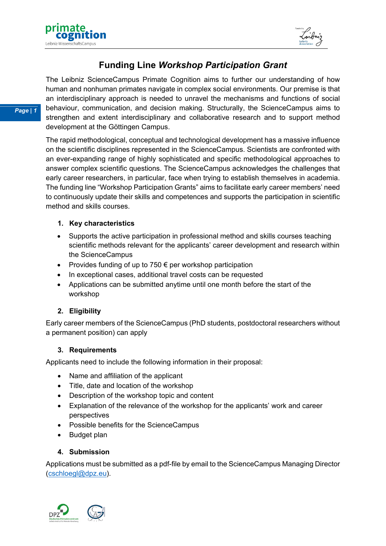



# **Funding Line** *Workshop Participation Grant*

The Leibniz ScienceCampus Primate Cognition aims to further our understanding of how human and nonhuman primates navigate in complex social environments. Our premise is that an interdisciplinary approach is needed to unravel the mechanisms and functions of social behaviour, communication, and decision making. Structurally, the ScienceCampus aims to strengthen and extent interdisciplinary and collaborative research and to support method development at the Göttingen Campus.

The rapid methodological, conceptual and technological development has a massive influence on the scientific disciplines represented in the ScienceCampus. Scientists are confronted with an ever-expanding range of highly sophisticated and specific methodological approaches to answer complex scientific questions. The ScienceCampus acknowledges the challenges that early career researchers, in particular, face when trying to establish themselves in academia. The funding line "Workshop Participation Grants" aims to facilitate early career members' need to continuously update their skills and competences and supports the participation in scientific method and skills courses.

## **1. Key characteristics**

- Supports the active participation in professional method and skills courses teaching scientific methods relevant for the applicants' career development and research within the ScienceCampus
- Provides funding of up to 750  $\epsilon$  per workshop participation
- In exceptional cases, additional travel costs can be requested
- Applications can be submitted anytime until one month before the start of the workshop

# **2. Eligibility**

Early career members of the ScienceCampus (PhD students, postdoctoral researchers without a permanent position) can apply

# **3. Requirements**

Applicants need to include the following information in their proposal:

- Name and affiliation of the applicant
- Title, date and location of the workshop
- Description of the workshop topic and content
- Explanation of the relevance of the workshop for the applicants' work and career perspectives
- Possible benefits for the ScienceCampus
- Budget plan

# **4. Submission**

Applications must be submitted as a pdf-file by email to the ScienceCampus Managing Director (cschloegl@dpz.eu).